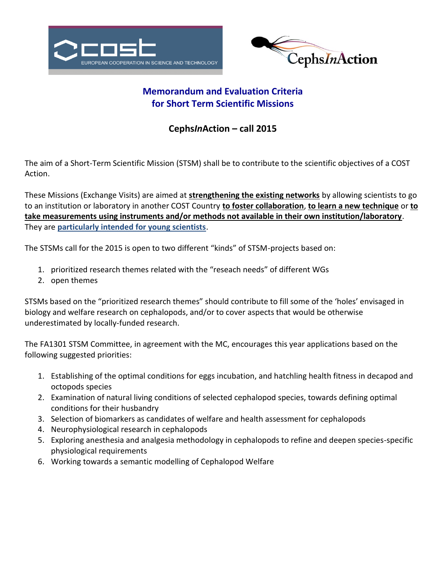



# **Memorandum and Evaluation Criteria for Short Term Scientific Missions**

## **Cephs***In***Action – call 2015**

The aim of a Short-Term Scientific Mission (STSM) shall be to contribute to the scientific objectives of a COST Action.

These Missions (Exchange Visits) are aimed at **strengthening the existing networks** by allowing scientists to go to an institution or laboratory in another COST Country **to foster collaboration**, **to learn a new technique** or **to take measurements using instruments and/or methods not available in their own institution/laboratory**. They are **particularly intended for young scientists**.

The STSMs call for the 2015 is open to two different "kinds" of STSM-projects based on:

- 1. prioritized research themes related with the "reseach needs" of different WGs
- 2. open themes

STSMs based on the "prioritized research themes" should contribute to fill some of the 'holes' envisaged in biology and welfare research on cephalopods, and/or to cover aspects that would be otherwise underestimated by locally-funded research.

The FA1301 STSM Committee, in agreement with the MC, encourages this year applications based on the following suggested priorities:

- 1. Establishing of the optimal conditions for eggs incubation, and hatchling health fitness in decapod and octopods species
- 2. Examination of natural living conditions of selected cephalopod species, towards defining optimal conditions for their husbandry
- 3. Selection of biomarkers as candidates of welfare and health assessment for cephalopods
- 4. Neurophysiological research in cephalopods
- 5. Exploring anesthesia and analgesia methodology in cephalopods to refine and deepen species-specific physiological requirements
- 6. Working towards a semantic modelling of Cephalopod Welfare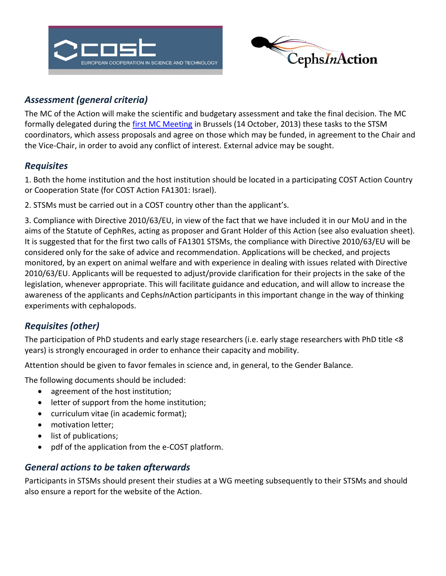



# *Assessment (general criteria)*

The MC of the Action will make the scientific and budgetary assessment and take the final decision. The MC formally delegated during the [first MC Meeting](http://www.cephsinaction.org/wp-content/uploads/2014/09/Minutes-FA1301-1st-MC-Meeting-Approved.pdf) in Brussels (14 October, 2013) these tasks to the STSM coordinators, which assess proposals and agree on those which may be funded, in agreement to the Chair and the Vice-Chair, in order to avoid any conflict of interest. External advice may be sought.

## *Requisites*

1. Both the home institution and the host institution should be located in a participating COST Action Country or Cooperation State (for COST Action FA1301: Israel).

2. STSMs must be carried out in a COST country other than the applicant's.

3. Compliance with Directive 2010/63/EU, in view of the fact that we have included it in our MoU and in the aims of the Statute of CephRes, acting as proposer and Grant Holder of this Action (see also evaluation sheet). It is suggested that for the first two calls of FA1301 STSMs, the compliance with Directive 2010/63/EU will be considered only for the sake of advice and recommendation. Applications will be checked, and projects monitored, by an expert on animal welfare and with experience in dealing with issues related with Directive 2010/63/EU. Applicants will be requested to adjust/provide clarification for their projects in the sake of the legislation, whenever appropriate. This will facilitate guidance and education, and will allow to increase the awareness of the applicants and Cephs*In*Action participants in this important change in the way of thinking experiments with cephalopods.

# *Requisites (other)*

The participation of PhD students and early stage researchers (i.e. early stage researchers with PhD title <8 years) is strongly encouraged in order to enhance their capacity and mobility.

Attention should be given to favor females in science and, in general, to the Gender Balance.

The following documents should be included:

- agreement of the host institution;
- letter of support from the home institution;
- curriculum vitae (in academic format);
- motivation letter:
- list of publications;
- pdf of the application from the e-COST platform.

## *General actions to be taken afterwards*

Participants in STSMs should present their studies at a WG meeting subsequently to their STSMs and should also ensure a report for the website of the Action.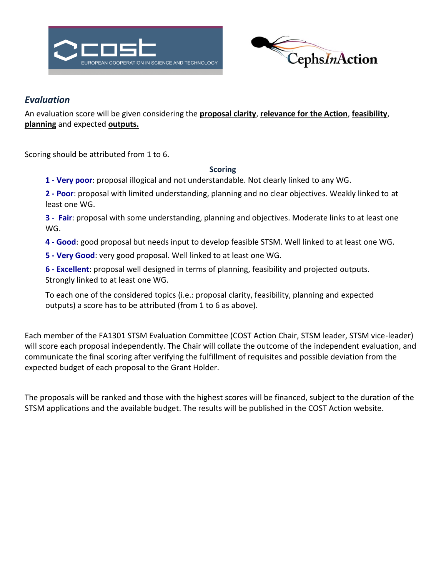



### *Evaluation*

An evaluation score will be given considering the **proposal clarity**, **relevance for the Action**, **feasibility**, **planning** and expected **outputs.**

Scoring should be attributed from 1 to 6.

#### **Scoring**

**1 - Very poor**: proposal illogical and not understandable. Not clearly linked to any WG.

**2 - Poor**: proposal with limited understanding, planning and no clear objectives. Weakly linked to at least one WG.

**3 - Fair**: proposal with some understanding, planning and objectives. Moderate links to at least one WG.

- **4 - Good**: good proposal but needs input to develop feasible STSM. Well linked to at least one WG.
- **5 - Very Good**: very good proposal. Well linked to at least one WG.

**6 - Excellent**: proposal well designed in terms of planning, feasibility and projected outputs. Strongly linked to at least one WG.

To each one of the considered topics (i.e.: proposal clarity, feasibility, planning and expected outputs) a score has to be attributed (from 1 to 6 as above).

Each member of the FA1301 STSM Evaluation Committee (COST Action Chair, STSM leader, STSM vice-leader) will score each proposal independently. The Chair will collate the outcome of the independent evaluation, and communicate the final scoring after verifying the fulfillment of requisites and possible deviation from the expected budget of each proposal to the Grant Holder.

The proposals will be ranked and those with the highest scores will be financed, subject to the duration of the STSM applications and the available budget. The results will be published in the COST Action website.